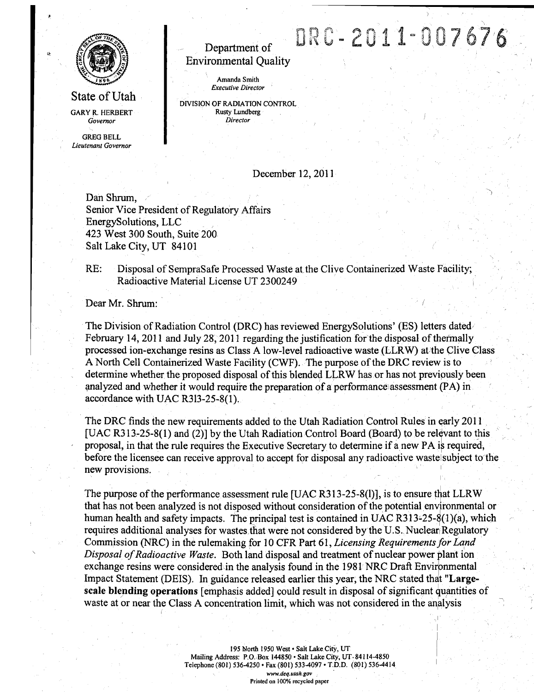

**State of Utah GARY R. HERBERT** *Govemor* 

*GREG BELL Lieutenant Govemor* 

# **Department of Environmental Quality**

*Amanda Smith Executive Director* 

*DIVISIpN OF RADIATION CONTROL Rusty Lundberg Director* 

### **December 12, 2011**

DRC-2011-007676

**Dan Shrum, Senior Vice President of Regulatory Affairs EnergySolutions, LLC 423 West 300 South, Suite 200 Salt Lake City, UT 84101** 

*RE: Disposal of SempraSafe Processed Waste at the Clive Containerized Waste Facility; Radioactive Material License UT 2300249 \* 

Dear Mr. Shrum:

**The Division of Radiation Control (DRC) has reviewed EnergySolutions' (ES) letters dated**  February 14, 2011 and July 28, 2011 regarding the justification for the disposal of thermally **processed ion-exchange resins as Class A low-level radioactive waste (LLRW) at the Clive Class A North Cell Containerized Waste Facility (CWF). The purpose of the DRC review is to determine whether the proposed disposal of this blended LLRW has or has not previpusly been analyzed and whether it would require the preparation pf a performance)assessment (PA) in accordance with UAC R313-25-8(l).** 

**The DRC finds the new requirements added to the Utah Radiation Control Rules in ^arly 2011 [UAC R313-25-8(1) and (2)] by the Utah Radiation Control Board (Board) to be relevant to this**  proposal, in that the rule requires the Executive Secretary to determine if a new PA is required, before the licensee can receive approval to accept for disposal any radioactive waste subject to the **new provisions.** 

**The purpose of the performance assessment rule [UAC R313-25-8(1)], is to ensure that LLRW that has not been analyzed is not disposed without consideration of the potential environmental or human health and safety impacts. The principal test is contained in UAC R313-25-8(1 )(a), which**  requires additional analyses for wastes that were not considered by the U.S. Nuclear Regulatory Commission (NRC) in the rulemaking for 10 CFR Part 61, *Licensing Requirements for Land* **Disposal of Radioactive Waste. Both land disposal and treatment of nuclear power plant ion exchange resins were considered in the analysis found in the 1981 NRC Draft Environmental Impact Statement (DEIS). In guidance released earlier this year, the NRC stated that "Largescale blending operations [emphasis added] could result in disposal of significant quantities of**  waste at or near the Class A concentration limit, which was not considered in the analysis

> **195 North 1950 West • Salt Lake City, UT Mailing Address: P.O. Box 144850 • Salt Lake City, UT- 84114-4850 Telephone (801) 536-4250 • Fax (801) 533-4097 • T.D.D. (801) 536-4414 www.deq.utah.gov**

**Printed on 100% recycled paper**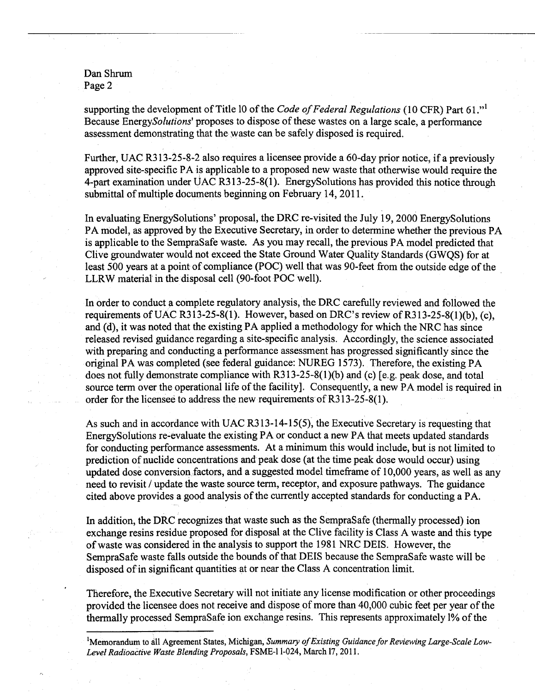**Dan Shrum Page 2** 

supporting the development of Title 10 of the *Code of Federal Regulations* (10 CFR) Part 61."<sup>1</sup> **Because EnergySolutions^ proposes to dispose of these wastes on a large scale, a performance assessment demonstrating that the waste can be safely disposed is required.** 

**Further, UAC R313-25-8-2 also requires a licensee provide a 60-day prior notice, if a previously**  approved site-specific PA is applicable to a proposed new waste that otherwise would require the **4-part examination under UAC R313-25-8(1). EnergySolutions has provided this notice through submittal of multiple documents beginning on February 14,2011.** 

**In evaluating EnergySolutions' proposal, the DRC re-visited the July 19, 2000 EnergySolutions PA model, as approved by the Executive Secretary, in order to determine whether the previous PA is applicable to the SempraSafe waste. As you may recall, the previous PA model predicted that Clive groundwater would not exceed the State Ground Water Quality Standards (GWQS) for at least 500 years at a point of compliance (POC) well that was 90-feet firom the outside edge of the LLRW material in the disposal cell (90-foot POC well).** 

In order to conduct a complete regulatory analysis, the DRC carefully reviewed and followed the requirements of UAC R313-25-8(1). However, based on DRC's review of R313-25-8(1)(b), (c), **and (d), it was noted that the existing PA applied a methodology for which the NRC has since released revised guidance regarding a site-specific analysis. Accordingly, the science associated with preparing and conducting a performance assessment has progressed significantly since the original PA was completed (see federal guidance: NUREG 1573). Therefore, the existing PA does not fully demonstrate compliance with R313-25-8(1 )(b) and (c) [e.g. peak dose, and total source term over the operational life of the facility]. Consequently, a new PA model is required in order for the licensee to address the new requirements of R313-25-8(l).** 

**As such and in accordance with UAC R313-14-15(5), the Executive Secretary is requesting that EnergySolutions re-evaluate the existing PA or conduct a new PA that meets updated standards for conducting performance assessments. At a minimum this would include, but is not limited to prediction of nuclide concentrations and peak dose (at the time peak dose would occur) using updated dose conversion factors, and a suggested model timefirame of 10,000 years, as well as any need to revisit / update the waste source term, receptor, and exposure pathways. The guidance cited above provides a good analysis of the currently accepted standards for conducting a PA.** 

**In addition, the DRC recognizes that waste such as the SempraSafe (thermally processed) ion exchange resins residue proposed for disposal at the Clive facility is Class A waste and this type of waste was considered in the analysis to support the 1981 NRC DEIS. However, the SempraSafe waste falls outside the bounds of that DEIS because the SempraSafe waste will be disposed of in significant quantities at or near the Class A concentration limit.** 

**Therefore, the Executive Secretary will not initiate any license modification or other proceedings provided the licensee does not receive and dispose of more than 40,000 cubic feet per year of the thermally processed SempraSafe ion exchange resins. This represents approximately 1% of the** 

<sup>&</sup>lt;sup>1</sup>Memorandum to all Agreement States, Michigan, Summary of Existing Guidance for Reviewing Large-Scale Low-**Level Radioactive Waste Blending Proposals, FSME-11-024, March 17, 2011.**